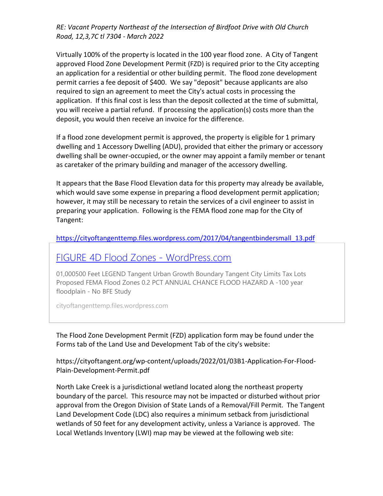*RE: Vacant Property Northeast of the Intersection of Birdfoot Drive with Old Church Road, 12,3,7C tl 7304 - March 2022*

Virtually 100% of the property is located in the 100 year flood zone. A City of Tangent approved Flood Zone Development Permit (FZD) is required prior to the City accepting an application for a residential or other building permit. The flood zone development permit carries a fee deposit of \$400. We say "deposit" because applicants are also required to sign an agreement to meet the City's actual costs in processing the application. If this final cost is less than the deposit collected at the time of submittal, you will receive a partial refund. If processing the application(s) costs more than the deposit, you would then receive an invoice for the difference.

If a flood zone development permit is approved, the property is eligible for 1 primary dwelling and 1 Accessory Dwelling (ADU), provided that either the primary or accessory dwelling shall be owner-occupied, or the owner may appoint a family member or tenant as caretaker of the primary building and manager of the accessory dwelling.

It appears that the Base Flood Elevation data for this property may already be available, which would save some expense in preparing a flood development permit application; however, it may still be necessary to retain the services of a civil engineer to assist in preparing your application. Following is the FEMA flood zone map for the City of Tangent:

## [https://cityoftangenttemp.files.wordpress.com/2017/04/tangentbindersmall\\_13.pdf](https://cityoftangenttemp.files.wordpress.com/2017/04/tangentbindersmall_13.pdf)

## [FIGURE 4D Flood Zones -](https://cityoftangenttemp.files.wordpress.com/2017/04/tangentbindersmall_13.pdf) WordPress.com

01,000500 Feet LEGEND Tangent Urban Growth Boundary Tangent City Limits Tax Lots Proposed FEMA Flood Zones 0.2 PCT ANNUAL CHANCE FLOOD HAZARD A -100 year floodplain - No BFE Study

cityoftangenttemp.files.wordpress.com

The Flood Zone Development Permit (FZD) application form may be found under the Forms tab of the Land Use and Development Tab of the city's website:

https://cityoftangent.org/wp-content/uploads/2022/01/03B1-Application-For-Flood-Plain-Development-Permit.pdf

North Lake Creek is a jurisdictional wetland located along the northeast property boundary of the parcel. This resource may not be impacted or disturbed without prior approval from the Oregon Division of State Lands of a Removal/Fill Permit. The Tangent Land Development Code (LDC) also requires a minimum setback from jurisdictional wetlands of 50 feet for any development activity, unless a Variance is approved. The Local Wetlands Inventory (LWI) map may be viewed at the following web site: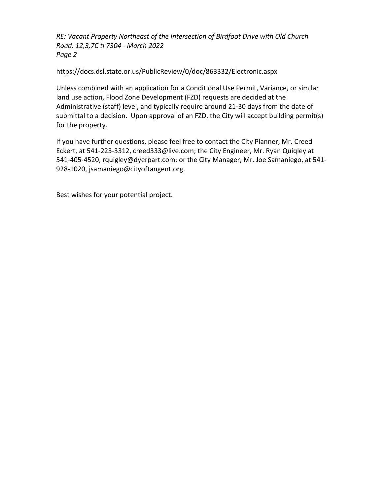*RE: Vacant Property Northeast of the Intersection of Birdfoot Drive with Old Church Road, 12,3,7C tl 7304 - March 2022 Page 2*

https://docs.dsl.state.or.us/PublicReview/0/doc/863332/Electronic.aspx

Unless combined with an application for a Conditional Use Permit, Variance, or similar land use action, Flood Zone Development (FZD) requests are decided at the Administrative (staff) level, and typically require around 21-30 days from the date of submittal to a decision. Upon approval of an FZD, the City will accept building permit(s) for the property.

If you have further questions, please feel free to contact the City Planner, Mr. Creed Eckert, at 541-223-3312, creed333@live.com; the City Engineer, Mr. Ryan Quiqley at 541-405-4520, rquigley@dyerpart.com; or the City Manager, Mr. Joe Samaniego, at 541- 928-1020, jsamaniego@cityoftangent.org.

Best wishes for your potential project.